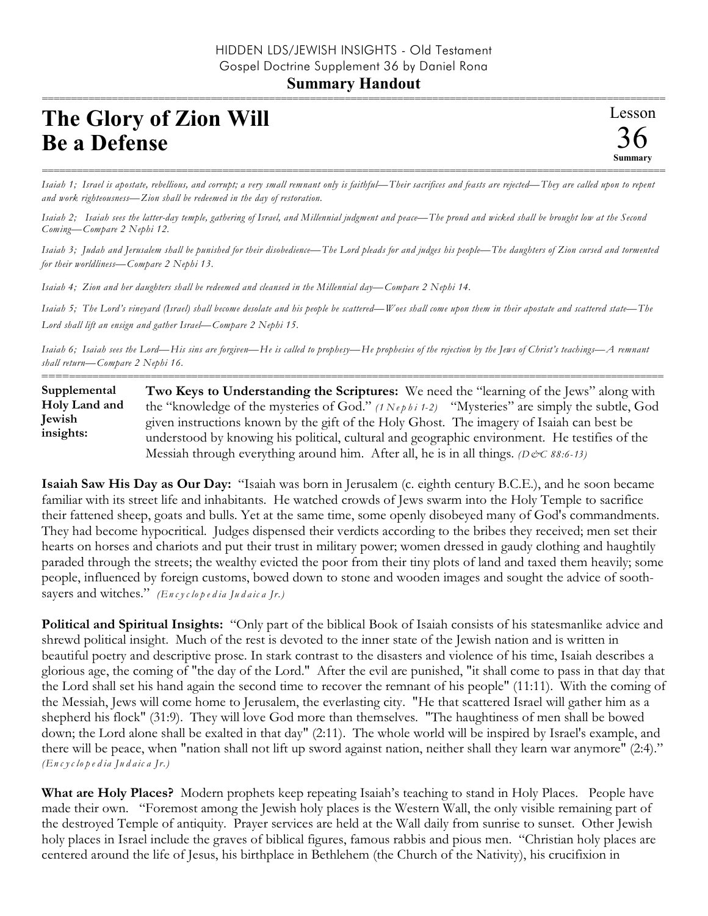## **Summary Handout**

## **The Glory of Zion Will Be a Defense**

=========================================================================================================== *Isaiah 1; Israel is apostate, rebellious, and corrupt; a very small remnant only is faithful—Their sacrifices and feasts are rejected—They are called upon to repent and work righteousness—Zion shall be redeemed in the day of restoration.*

*Isaiah 2; Isaiah sees the latter-day temple, gathering of Israel, and Millennial judgment and peace—The proud and wicked shall be brought low at the Second Coming—Compare 2 Nephi 12.* 

*Isaiah 3; Judah and Jerusalem shall be punished for their disobedience—The Lord pleads for and judges his people—The daughters of Zion cursed and tormented for their worldliness—Compare 2 Nephi 13.*

*Isaiah 4; Zion and her daughters shall be redeemed and cleansed in the Millennial day—Compare 2 Nephi 14.* 

*Isaiah 5; The Lord's vineyard (Israel) shall become desolate and his people be scattered—Woes shall come upon them in their apostate and scattered state—The Lord shall lift an ensign and gather Israel—Compare 2 Nephi 15.* 

*Isaiah 6; Isaiah sees the Lord—His sins are forgiven—He is called to prophesy—He prophesies of the rejection by the Jews of Christ's teachings—A remnant shall return—Compare 2 Nephi 16.*

**Two Keys to Understanding the Scriptures:** We need the "learning of the Jews" along with the "knowledge of the mysteries of God." *(1 Ne p h i 1-2)* "Mysteries" are simply the subtle, God given instructions known by the gift of the Holy Ghost. The imagery of Isaiah can best be understood by knowing his political, cultural and geographic environment. He testifies of the Messiah through everything around him. After all, he is in all things. *(D&C 88:6-13)* **Supplemental Holy Land and Jewish insights:**

==========================================================================================================

**Isaiah Saw His Day as Our Day:** "Isaiah was born in Jerusalem (c. eighth century B.C.E.), and he soon became familiar with its street life and inhabitants. He watched crowds of Jews swarm into the Holy Temple to sacrifice their fattened sheep, goats and bulls. Yet at the same time, some openly disobeyed many of God's commandments. They had become hypocritical. Judges dispensed their verdicts according to the bribes they received; men set their hearts on horses and chariots and put their trust in military power; women dressed in gaudy clothing and haughtily paraded through the streets; the wealthy evicted the poor from their tiny plots of land and taxed them heavily; some people, influenced by foreign customs, bowed down to stone and wooden images and sought the advice of soothsayers and witches." *(En c y c lo p e d ia Ju d a ic a Jr.)*

**Political and Spiritual Insights:** "Only part of the biblical Book of Isaiah consists of his statesmanlike advice and shrewd political insight. Much of the rest is devoted to the inner state of the Jewish nation and is written in beautiful poetry and descriptive prose. In stark contrast to the disasters and violence of his time, Isaiah describes a glorious age, the coming of "the day of the Lord." After the evil are punished, "it shall come to pass in that day that the Lord shall set his hand again the second time to recover the remnant of his people" (11:11). With the coming of the Messiah, Jews will come home to Jerusalem, the everlasting city. "He that scattered Israel will gather him as a shepherd his flock" (31:9). They will love God more than themselves. "The haughtiness of men shall be bowed down; the Lord alone shall be exalted in that day" (2:11). The whole world will be inspired by Israel's example, and there will be peace, when "nation shall not lift up sword against nation, neither shall they learn war anymore" (2:4)." *(En c y c lo p e d ia Ju d a ic a Jr.)*

**What are Holy Places?** Modern prophets keep repeating Isaiah's teaching to stand in Holy Places. People have made their own. "Foremost among the Jewish holy places is the Western Wall, the only visible remaining part of the destroyed Temple of antiquity. Prayer services are held at the Wall daily from sunrise to sunset. Other Jewish holy places in Israel include the graves of biblical figures, famous rabbis and pious men. "Christian holy places are centered around the life of Jesus, his birthplace in Bethlehem (the Church of the Nativity), his crucifixion in